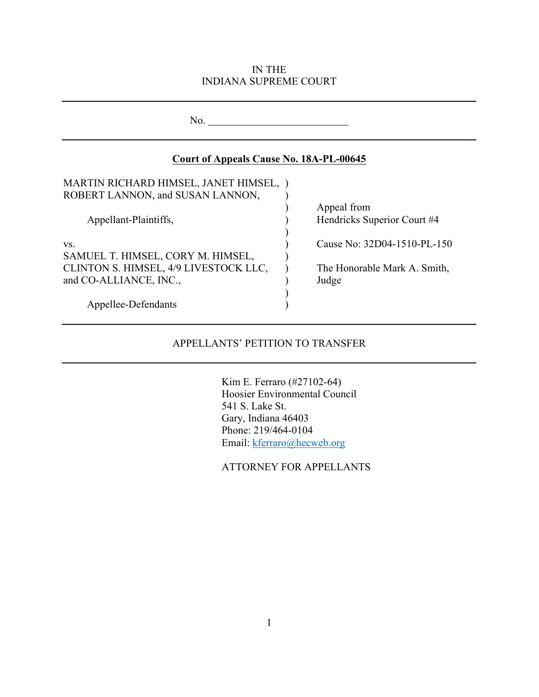#### IN THE INDIANA SUPREME COURT

| No.                                            |                              |
|------------------------------------------------|------------------------------|
| <b>Court of Appeals Cause No. 18A-PL-00645</b> |                              |
| MARTIN RICHARD HIMSEL, JANET HIMSEL, )         |                              |
| ROBERT LANNON, and SUSAN LANNON,               |                              |
|                                                | Appeal from                  |
| Appellant-Plaintiffs,                          | Hendricks Superior Court #4  |
| VS.<br>SAMUEL T. HIMSEL, CORY M. HIMSEL,       | Cause No: 32D04-1510-PL-150  |
| CLINTON S. HIMSEL, 4/9 LIVESTOCK LLC,          | The Honorable Mark A. Smith, |
| and CO-ALLIANCE, INC.,                         | Judge                        |
| Appellee-Defendants                            |                              |

## APPELLANTS' PETITION TO TRANSFER

Kim E. Ferraro (#27102-64) Hoosier Environmental Council 541 S. Lake St. Gary, Indiana 46403 Phone: 219/464-0104 Email: kferraro@hecweb.org

ATTORNEY FOR APPELLANTS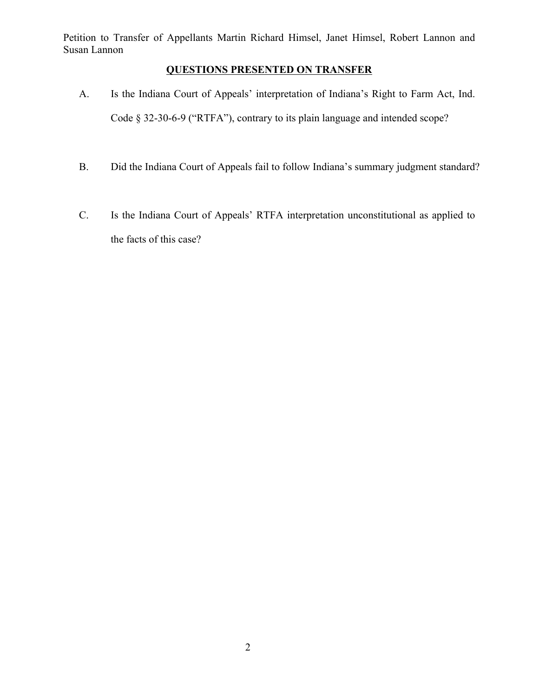# **QUESTIONS PRESENTED ON TRANSFER**

- A. Is the Indiana Court of Appeals' interpretation of Indiana's Right to Farm Act, Ind. Code § 32-30-6-9 ("RTFA"), contrary to its plain language and intended scope?
- B. Did the Indiana Court of Appeals fail to follow Indiana's summary judgment standard?
- C. Is the Indiana Court of Appeals' RTFA interpretation unconstitutional as applied to the facts of this case?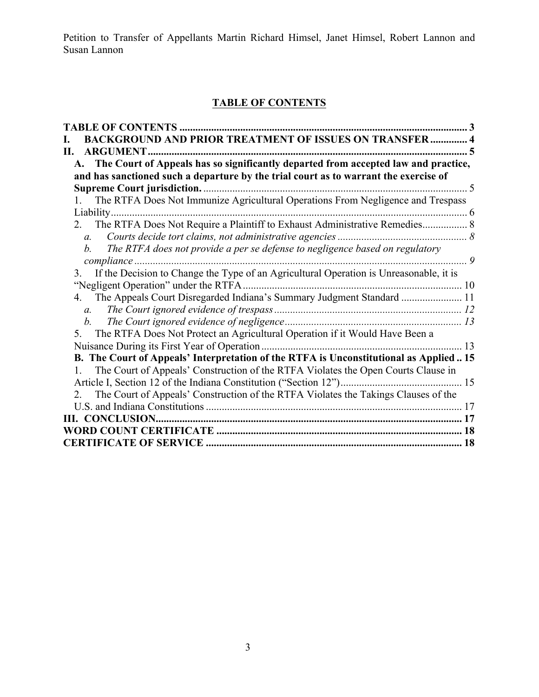# **TABLE OF CONTENTS**

| TABLE OF CONTENTS                                                                                                                                                             |                          |
|-------------------------------------------------------------------------------------------------------------------------------------------------------------------------------|--------------------------|
| <b>BACKGROUND AND PRIOR TREATMENT OF ISSUES ON TRANSFER  4</b>                                                                                                                |                          |
| <b>ARGUMENT.</b><br>П.                                                                                                                                                        |                          |
| A. The Court of Appeals has so significantly departed from accepted law and practice,<br>and has sanctioned such a departure by the trial court as to warrant the exercise of |                          |
|                                                                                                                                                                               | $\overline{\mathcal{L}}$ |
| The RTFA Does Not Immunize Agricultural Operations From Negligence and Trespass<br>1.                                                                                         |                          |
| Liability                                                                                                                                                                     |                          |
| The RTFA Does Not Require a Plaintiff to Exhaust Administrative Remedies 8<br>2.                                                                                              |                          |
| $a_{\cdot}$                                                                                                                                                                   |                          |
| The RTFA does not provide a per se defense to negligence based on regulatory<br>b.                                                                                            |                          |
| $\overline{q}$                                                                                                                                                                |                          |
| If the Decision to Change the Type of an Agricultural Operation is Unreasonable, it is<br>3.                                                                                  |                          |
| "Negligent Operation" under the RTFA                                                                                                                                          |                          |
| The Appeals Court Disregarded Indiana's Summary Judgment Standard  11<br>4.                                                                                                   |                          |
| $a_{\cdot}$                                                                                                                                                                   |                          |
|                                                                                                                                                                               |                          |
| The RTFA Does Not Protect an Agricultural Operation if it Would Have Been a<br>5.                                                                                             |                          |
|                                                                                                                                                                               | .13                      |
| B. The Court of Appeals' Interpretation of the RTFA is Unconstitutional as Applied  15                                                                                        |                          |
| The Court of Appeals' Construction of the RTFA Violates the Open Courts Clause in<br>$1 \quad$                                                                                |                          |
|                                                                                                                                                                               |                          |
| The Court of Appeals' Construction of the RTFA Violates the Takings Clauses of the<br>2.                                                                                      |                          |
|                                                                                                                                                                               |                          |
|                                                                                                                                                                               |                          |
|                                                                                                                                                                               |                          |
|                                                                                                                                                                               |                          |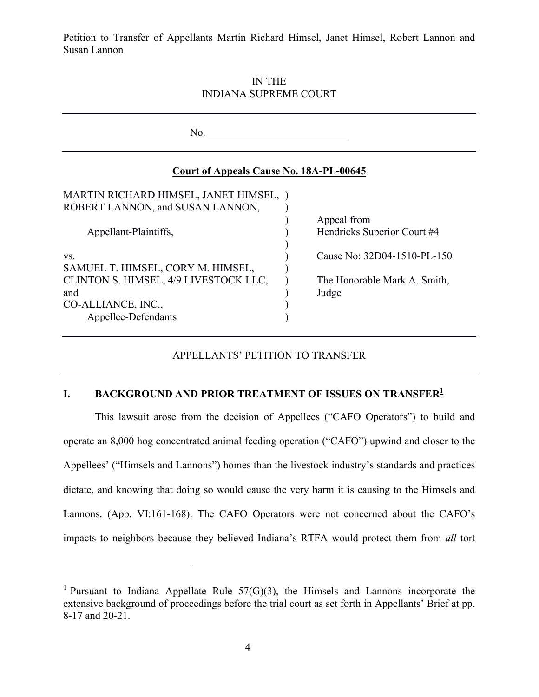IN THE INDIANA SUPREME COURT

| No.                                                                                                                                   |                                                                      |  |  |
|---------------------------------------------------------------------------------------------------------------------------------------|----------------------------------------------------------------------|--|--|
| Court of Appeals Cause No. 18A-PL-00645                                                                                               |                                                                      |  |  |
| MARTIN RICHARD HIMSEL, JANET HIMSEL, )<br>ROBERT LANNON, and SUSAN LANNON,<br>Appellant-Plaintiffs,                                   | Appeal from<br>Hendricks Superior Court #4                           |  |  |
| VS.<br>SAMUEL T. HIMSEL, CORY M. HIMSEL,<br>CLINTON S. HIMSEL, 4/9 LIVESTOCK LLC,<br>and<br>CO-ALLIANCE, INC.,<br>Appellee-Defendants | Cause No: 32D04-1510-PL-150<br>The Honorable Mark A. Smith,<br>Judge |  |  |

#### APPELLANTS' PETITION TO TRANSFER

#### **I. BACKGROUND AND PRIOR TREATMENT OF ISSUES ON TRANSFER<sup>1</sup>**

This lawsuit arose from the decision of Appellees ("CAFO Operators") to build and operate an 8,000 hog concentrated animal feeding operation ("CAFO") upwind and closer to the Appellees' ("Himsels and Lannons") homes than the livestock industry's standards and practices dictate, and knowing that doing so would cause the very harm it is causing to the Himsels and Lannons. (App. VI:161-168). The CAFO Operators were not concerned about the CAFO's impacts to neighbors because they believed Indiana's RTFA would protect them from *all* tort

<sup>&</sup>lt;sup>1</sup> Pursuant to Indiana Appellate Rule  $57(G)(3)$ , the Himsels and Lannons incorporate the extensive background of proceedings before the trial court as set forth in Appellants' Brief at pp. 8-17 and 20-21.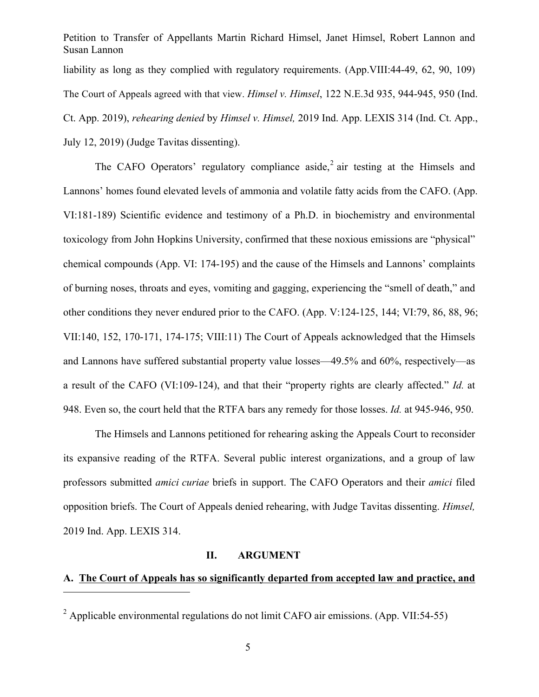Petition to Transfer of Appellants Martin Richard Himsel, Janet Himsel, Robert Lannon and Susan Lannon liability as long as they complied with regulatory requirements. (App. VIII: 44-49, 62, 90, 109) The Court of Appeals agreed with that view. *Himsel v. Himsel*, 122 N.E.3d 935, 944-945, 950 (Ind. Ct. App. 2019), *rehearing denied* by *Himsel v. Himsel,* 2019 Ind. App. LEXIS 314 (Ind. Ct. App., July 12, 2019) (Judge Tavitas dissenting).

The CAFO Operators' regulatory compliance aside,<sup>2</sup> air testing at the Himsels and Lannons' homes found elevated levels of ammonia and volatile fatty acids from the CAFO. (App. VI:181-189) Scientific evidence and testimony of a Ph.D. in biochemistry and environmental toxicology from John Hopkins University, confirmed that these noxious emissions are "physical" chemical compounds (App. VI: 174-195) and the cause of the Himsels and Lannons' complaints of burning noses, throats and eyes, vomiting and gagging, experiencing the "smell of death," and other conditions they never endured prior to the CAFO. (App. V:124-125, 144; VI:79, 86, 88, 96; VII:140, 152, 170-171, 174-175; VIII:11) The Court of Appeals acknowledged that the Himsels and Lannons have suffered substantial property value losses—49.5% and 60%, respectively—as a result of the CAFO (VI:109-124), and that their "property rights are clearly affected." *Id.* at 948. Even so, the court held that the RTFA bars any remedy for those losses. *Id.* at 945-946, 950.

The Himsels and Lannons petitioned for rehearing asking the Appeals Court to reconsider its expansive reading of the RTFA. Several public interest organizations, and a group of law professors submitted *amici curiae* briefs in support. The CAFO Operators and their *amici* filed opposition briefs. The Court of Appeals denied rehearing, with Judge Tavitas dissenting. *Himsel,* 2019 Ind. App. LEXIS 314.

#### **II. ARGUMENT**

## **A. The Court of Appeals has so significantly departed from accepted law and practice, and**

 $2$  Applicable environmental regulations do not limit CAFO air emissions. (App. VII:54-55)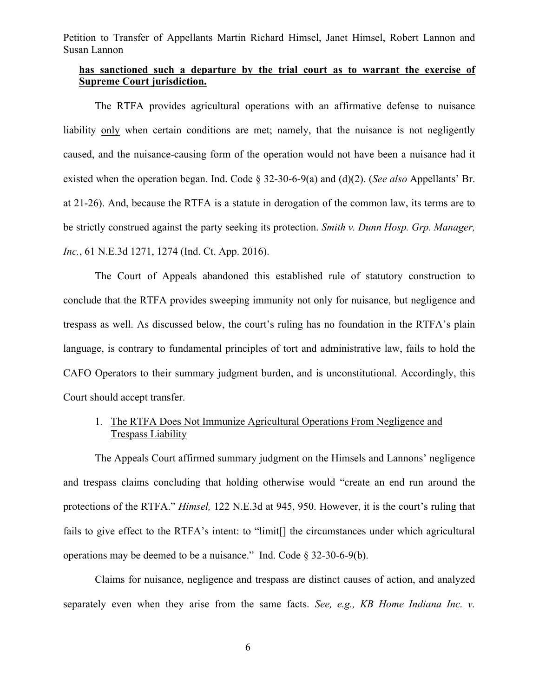#### **has sanctioned such a departure by the trial court as to warrant the exercise of Supreme Court jurisdiction.**

The RTFA provides agricultural operations with an affirmative defense to nuisance liability only when certain conditions are met; namely, that the nuisance is not negligently caused, and the nuisance-causing form of the operation would not have been a nuisance had it existed when the operation began. Ind. Code § 32-30-6-9(a) and (d)(2). (*See also* Appellants' Br. at 21-26). And, because the RTFA is a statute in derogation of the common law, its terms are to be strictly construed against the party seeking its protection. *Smith v. Dunn Hosp. Grp. Manager, Inc.*, 61 N.E.3d 1271, 1274 (Ind. Ct. App. 2016).

The Court of Appeals abandoned this established rule of statutory construction to conclude that the RTFA provides sweeping immunity not only for nuisance, but negligence and trespass as well. As discussed below, the court's ruling has no foundation in the RTFA's plain language, is contrary to fundamental principles of tort and administrative law, fails to hold the CAFO Operators to their summary judgment burden, and is unconstitutional. Accordingly, this Court should accept transfer.

#### 1. The RTFA Does Not Immunize Agricultural Operations From Negligence and Trespass Liability

The Appeals Court affirmed summary judgment on the Himsels and Lannons' negligence and trespass claims concluding that holding otherwise would "create an end run around the protections of the RTFA." *Himsel,* 122 N.E.3d at 945, 950. However, it is the court's ruling that fails to give effect to the RTFA's intent: to "limit[] the circumstances under which agricultural operations may be deemed to be a nuisance." Ind. Code § 32-30-6-9(b).

Claims for nuisance, negligence and trespass are distinct causes of action, and analyzed separately even when they arise from the same facts. *See, e.g., KB Home Indiana Inc. v.*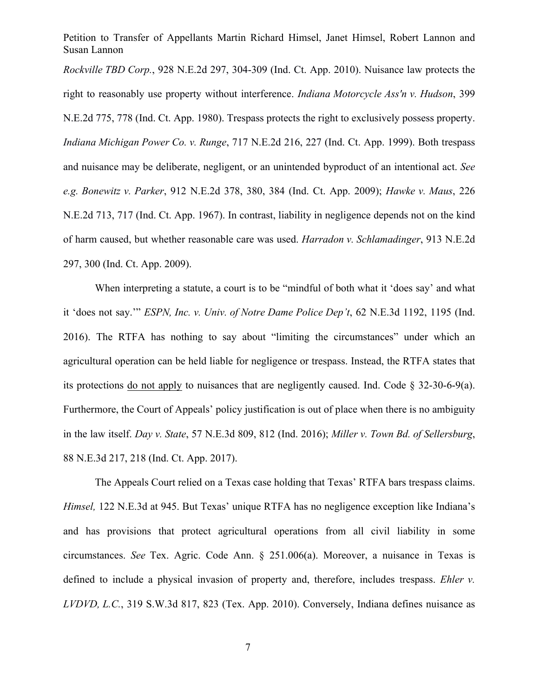*Rockville TBD Corp.*, 928 N.E.2d 297, 304-309 (Ind. Ct. App. 2010). Nuisance law protects the right to reasonably use property without interference. *Indiana Motorcycle Ass'n v. Hudson*, 399 N.E.2d 775, 778 (Ind. Ct. App. 1980). Trespass protects the right to exclusively possess property. *Indiana Michigan Power Co. v. Runge*, 717 N.E.2d 216, 227 (Ind. Ct. App. 1999). Both trespass and nuisance may be deliberate, negligent, or an unintended byproduct of an intentional act. *See e.g. Bonewitz v. Parker*, 912 N.E.2d 378, 380, 384 (Ind. Ct. App. 2009); *Hawke v. Maus*, 226 N.E.2d 713, 717 (Ind. Ct. App. 1967). In contrast, liability in negligence depends not on the kind of harm caused, but whether reasonable care was used. *Harradon v. Schlamadinger*, 913 N.E.2d 297, 300 (Ind. Ct. App. 2009).

When interpreting a statute, a court is to be "mindful of both what it 'does say' and what it 'does not say.'" *ESPN, Inc. v. Univ. of Notre Dame Police Dep't*, 62 N.E.3d 1192, 1195 (Ind. 2016). The RTFA has nothing to say about "limiting the circumstances" under which an agricultural operation can be held liable for negligence or trespass. Instead, the RTFA states that its protections do not apply to nuisances that are negligently caused. Ind. Code § 32-30-6-9(a). Furthermore, the Court of Appeals' policy justification is out of place when there is no ambiguity in the law itself. *Day v. State*, 57 N.E.3d 809, 812 (Ind. 2016); *Miller v. Town Bd. of Sellersburg*, 88 N.E.3d 217, 218 (Ind. Ct. App. 2017).

The Appeals Court relied on a Texas case holding that Texas' RTFA bars trespass claims. *Himsel,* 122 N.E.3d at 945. But Texas' unique RTFA has no negligence exception like Indiana's and has provisions that protect agricultural operations from all civil liability in some circumstances. *See* Tex. Agric. Code Ann. § 251.006(a). Moreover, a nuisance in Texas is defined to include a physical invasion of property and, therefore, includes trespass. *Ehler v. LVDVD, L.C.*, 319 S.W.3d 817, 823 (Tex. App. 2010). Conversely, Indiana defines nuisance as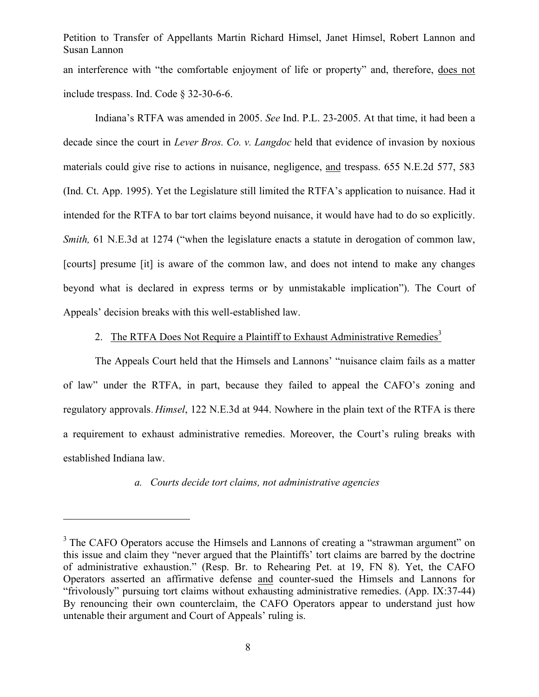Petition to Transfer of Appellants Martin Richard Himsel, Janet Himsel, Robert Lannon and Susan Lannon an interference with "the comfortable enjoyment of life or property" and, therefore, does not include trespass. Ind. Code § 32-30-6-6.

Indiana's RTFA was amended in 2005. *See* Ind. P.L. 23-2005. At that time, it had been a decade since the court in *Lever Bros. Co. v. Langdoc* held that evidence of invasion by noxious materials could give rise to actions in nuisance, negligence, and trespass. 655 N.E.2d 577, 583 (Ind. Ct. App. 1995). Yet the Legislature still limited the RTFA's application to nuisance. Had it intended for the RTFA to bar tort claims beyond nuisance, it would have had to do so explicitly. *Smith*, 61 N.E.3d at 1274 ("when the legislature enacts a statute in derogation of common law, [courts] presume [it] is aware of the common law, and does not intend to make any changes beyond what is declared in express terms or by unmistakable implication"). The Court of Appeals' decision breaks with this well-established law.

### 2. The RTFA Does Not Require a Plaintiff to Exhaust Administrative Remedies<sup>3</sup>

The Appeals Court held that the Himsels and Lannons' "nuisance claim fails as a matter of law" under the RTFA, in part, because they failed to appeal the CAFO's zoning and regulatory approvals. *Himsel*, 122 N.E.3d at 944. Nowhere in the plain text of the RTFA is there a requirement to exhaust administrative remedies. Moreover, the Court's ruling breaks with established Indiana law.

#### *a. Courts decide tort claims, not administrative agencies*

 $3$  The CAFO Operators accuse the Himsels and Lannons of creating a "strawman argument" on this issue and claim they "never argued that the Plaintiffs' tort claims are barred by the doctrine of administrative exhaustion." (Resp. Br. to Rehearing Pet. at 19, FN 8). Yet, the CAFO Operators asserted an affirmative defense and counter-sued the Himsels and Lannons for "frivolously" pursuing tort claims without exhausting administrative remedies. (App. IX:37-44) By renouncing their own counterclaim, the CAFO Operators appear to understand just how untenable their argument and Court of Appeals' ruling is.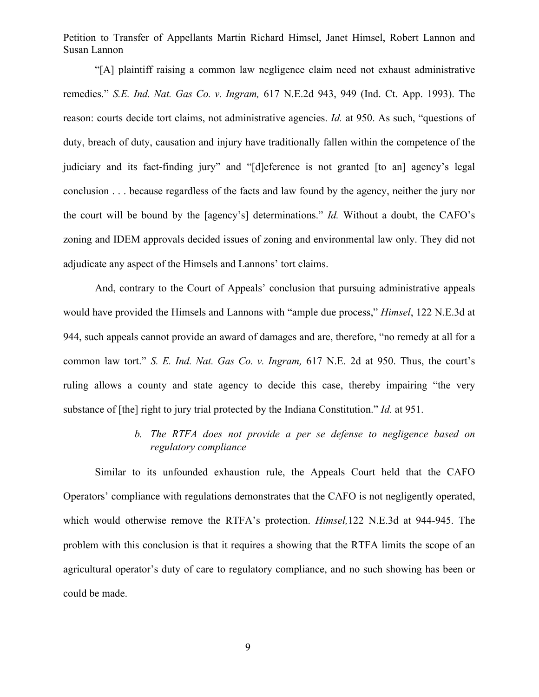"[A] plaintiff raising a common law negligence claim need not exhaust administrative remedies." *S.E. Ind. Nat. Gas Co. v. Ingram,* 617 N.E.2d 943, 949 (Ind. Ct. App. 1993). The reason: courts decide tort claims, not administrative agencies. *Id.* at 950. As such, "questions of duty, breach of duty, causation and injury have traditionally fallen within the competence of the judiciary and its fact-finding jury" and "[d]eference is not granted [to an] agency's legal conclusion . . . because regardless of the facts and law found by the agency, neither the jury nor the court will be bound by the [agency's] determinations." *Id.* Without a doubt, the CAFO's zoning and IDEM approvals decided issues of zoning and environmental law only. They did not adjudicate any aspect of the Himsels and Lannons' tort claims.

And, contrary to the Court of Appeals' conclusion that pursuing administrative appeals would have provided the Himsels and Lannons with "ample due process," *Himsel*, 122 N.E.3d at 944, such appeals cannot provide an award of damages and are, therefore, "no remedy at all for a common law tort." *S. E. Ind. Nat. Gas Co. v. Ingram,* 617 N.E. 2d at 950. Thus, the court's ruling allows a county and state agency to decide this case, thereby impairing "the very substance of [the] right to jury trial protected by the Indiana Constitution." *Id.* at 951.

> *b. The RTFA does not provide a per se defense to negligence based on regulatory compliance*

Similar to its unfounded exhaustion rule, the Appeals Court held that the CAFO Operators' compliance with regulations demonstrates that the CAFO is not negligently operated, which would otherwise remove the RTFA's protection. *Himsel,*122 N.E.3d at 944-945. The problem with this conclusion is that it requires a showing that the RTFA limits the scope of an agricultural operator's duty of care to regulatory compliance, and no such showing has been or could be made.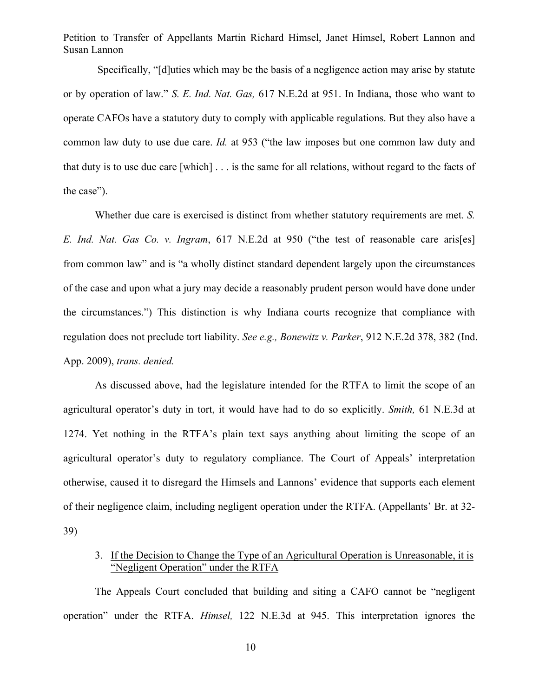Specifically, "[d]uties which may be the basis of a negligence action may arise by statute or by operation of law." *S. E. Ind. Nat. Gas,* 617 N.E.2d at 951. In Indiana, those who want to operate CAFOs have a statutory duty to comply with applicable regulations. But they also have a common law duty to use due care. *Id.* at 953 ("the law imposes but one common law duty and that duty is to use due care [which] . . . is the same for all relations, without regard to the facts of the case").

Whether due care is exercised is distinct from whether statutory requirements are met. *S. E. Ind. Nat. Gas Co. v. Ingram*, 617 N.E.2d at 950 ("the test of reasonable care aris[es] from common law" and is "a wholly distinct standard dependent largely upon the circumstances of the case and upon what a jury may decide a reasonably prudent person would have done under the circumstances.") This distinction is why Indiana courts recognize that compliance with regulation does not preclude tort liability. *See e.g., Bonewitz v. Parker*, 912 N.E.2d 378, 382 (Ind. App. 2009), *trans. denied.*

As discussed above, had the legislature intended for the RTFA to limit the scope of an agricultural operator's duty in tort, it would have had to do so explicitly. *Smith,* 61 N.E.3d at 1274. Yet nothing in the RTFA's plain text says anything about limiting the scope of an agricultural operator's duty to regulatory compliance. The Court of Appeals' interpretation otherwise, caused it to disregard the Himsels and Lannons' evidence that supports each element of their negligence claim, including negligent operation under the RTFA. (Appellants' Br. at 32- 39)

#### 3. If the Decision to Change the Type of an Agricultural Operation is Unreasonable, it is "Negligent Operation" under the RTFA

The Appeals Court concluded that building and siting a CAFO cannot be "negligent operation" under the RTFA. *Himsel,* 122 N.E.3d at 945. This interpretation ignores the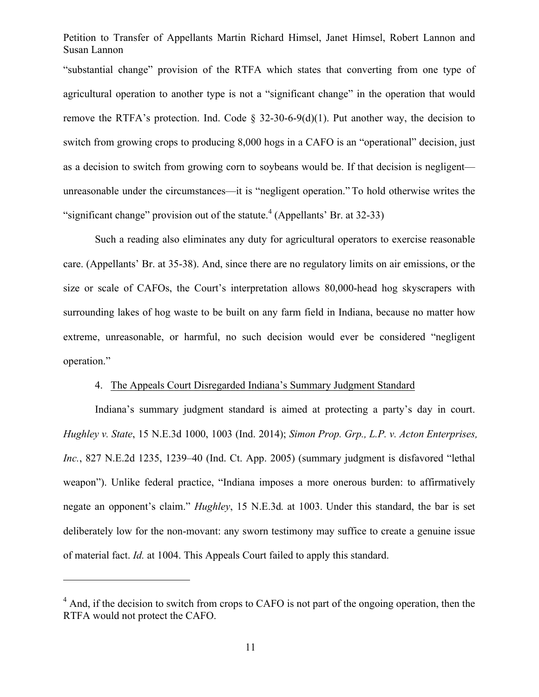"substantial change" provision of the RTFA which states that converting from one type of agricultural operation to another type is not a "significant change" in the operation that would remove the RTFA's protection. Ind. Code  $\S$  32-30-6-9(d)(1). Put another way, the decision to switch from growing crops to producing 8,000 hogs in a CAFO is an "operational" decision, just as a decision to switch from growing corn to soybeans would be. If that decision is negligent unreasonable under the circumstances—it is "negligent operation." To hold otherwise writes the "significant change" provision out of the statute.<sup>4</sup> (Appellants' Br. at 32-33)

Such a reading also eliminates any duty for agricultural operators to exercise reasonable care. (Appellants' Br. at 35-38). And, since there are no regulatory limits on air emissions, or the size or scale of CAFOs, the Court's interpretation allows 80,000-head hog skyscrapers with surrounding lakes of hog waste to be built on any farm field in Indiana, because no matter how extreme, unreasonable, or harmful, no such decision would ever be considered "negligent operation."

#### 4. The Appeals Court Disregarded Indiana's Summary Judgment Standard

Indiana's summary judgment standard is aimed at protecting a party's day in court. *Hughley v. State*, 15 N.E.3d 1000, 1003 (Ind. 2014); *Simon Prop. Grp., L.P. v. Acton Enterprises, Inc.*, 827 N.E.2d 1235, 1239–40 (Ind. Ct. App. 2005) (summary judgment is disfavored "lethal weapon"). Unlike federal practice, "Indiana imposes a more onerous burden: to affirmatively negate an opponent's claim." *Hughley*, 15 N.E.3d*.* at 1003. Under this standard, the bar is set deliberately low for the non-movant: any sworn testimony may suffice to create a genuine issue of material fact. *Id.* at 1004. This Appeals Court failed to apply this standard.

 $<sup>4</sup>$  And, if the decision to switch from crops to CAFO is not part of the ongoing operation, then the</sup> RTFA would not protect the CAFO.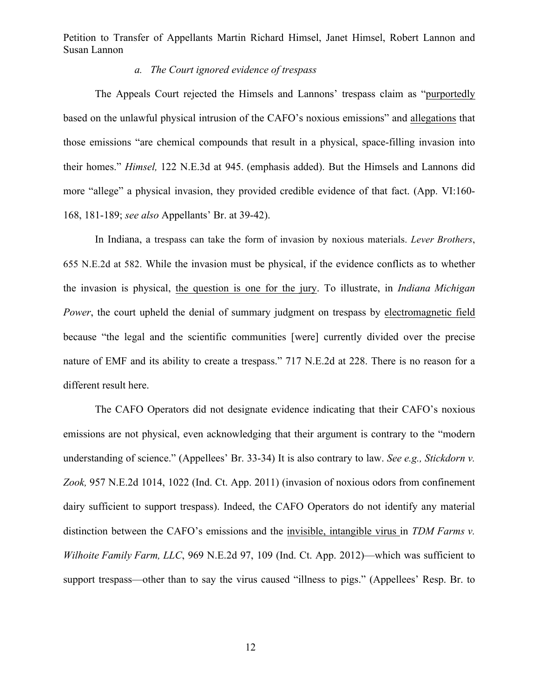#### *a. The Court ignored evidence of trespass*

The Appeals Court rejected the Himsels and Lannons' trespass claim as "purportedly based on the unlawful physical intrusion of the CAFO's noxious emissions" and allegations that those emissions "are chemical compounds that result in a physical, space-filling invasion into their homes." *Himsel,* 122 N.E.3d at 945. (emphasis added). But the Himsels and Lannons did more "allege" a physical invasion, they provided credible evidence of that fact. (App. VI:160- 168, 181-189; *see also* Appellants' Br. at 39-42).

In Indiana, a trespass can take the form of invasion by noxious materials. *Lever Brothers*, 655 N.E.2d at 582. While the invasion must be physical, if the evidence conflicts as to whether the invasion is physical, the question is one for the jury. To illustrate, in *Indiana Michigan Power*, the court upheld the denial of summary judgment on trespass by electromagnetic field because "the legal and the scientific communities [were] currently divided over the precise nature of EMF and its ability to create a trespass." 717 N.E.2d at 228. There is no reason for a different result here.

The CAFO Operators did not designate evidence indicating that their CAFO's noxious emissions are not physical, even acknowledging that their argument is contrary to the "modern understanding of science." (Appellees' Br. 33-34) It is also contrary to law. *See e.g., Stickdorn v. Zook,* 957 N.E.2d 1014, 1022 (Ind. Ct. App. 2011) (invasion of noxious odors from confinement dairy sufficient to support trespass). Indeed, the CAFO Operators do not identify any material distinction between the CAFO's emissions and the invisible, intangible virus in *TDM Farms v. Wilhoite Family Farm, LLC*, 969 N.E.2d 97, 109 (Ind. Ct. App. 2012)—which was sufficient to support trespass—other than to say the virus caused "illness to pigs." (Appellees' Resp. Br. to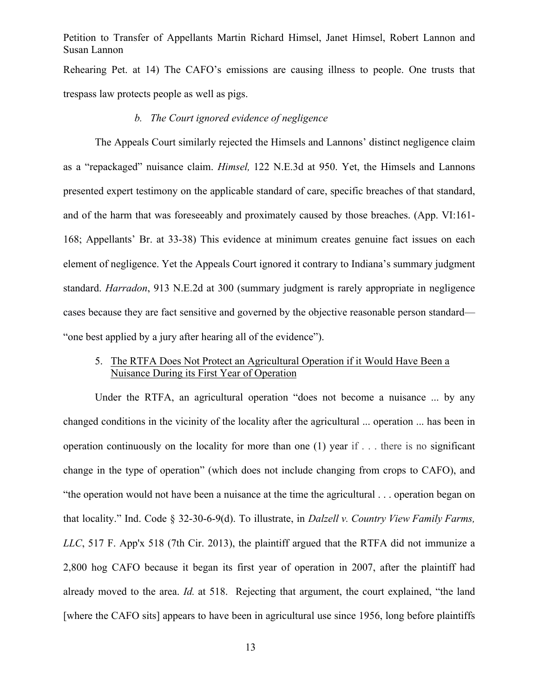Rehearing Pet. at 14) The CAFO's emissions are causing illness to people. One trusts that trespass law protects people as well as pigs.

#### *b. The Court ignored evidence of negligence*

The Appeals Court similarly rejected the Himsels and Lannons' distinct negligence claim as a "repackaged" nuisance claim. *Himsel,* 122 N.E.3d at 950. Yet, the Himsels and Lannons presented expert testimony on the applicable standard of care, specific breaches of that standard, and of the harm that was foreseeably and proximately caused by those breaches. (App. VI:161- 168; Appellants' Br. at 33-38) This evidence at minimum creates genuine fact issues on each element of negligence. Yet the Appeals Court ignored it contrary to Indiana's summary judgment standard. *Harradon*, 913 N.E.2d at 300 (summary judgment is rarely appropriate in negligence cases because they are fact sensitive and governed by the objective reasonable person standard— "one best applied by a jury after hearing all of the evidence").

#### 5. The RTFA Does Not Protect an Agricultural Operation if it Would Have Been a Nuisance During its First Year of Operation

Under the RTFA, an agricultural operation "does not become a nuisance ... by any changed conditions in the vicinity of the locality after the agricultural ... operation ... has been in operation continuously on the locality for more than one (1) year if . . . there is no significant change in the type of operation" (which does not include changing from crops to CAFO), and "the operation would not have been a nuisance at the time the agricultural . . . operation began on that locality." Ind. Code § 32-30-6-9(d). To illustrate, in *Dalzell v. Country View Family Farms, LLC*, 517 F. App'x 518 (7th Cir. 2013), the plaintiff argued that the RTFA did not immunize a 2,800 hog CAFO because it began its first year of operation in 2007, after the plaintiff had already moved to the area. *Id.* at 518. Rejecting that argument, the court explained, "the land [where the CAFO sits] appears to have been in agricultural use since 1956, long before plaintiffs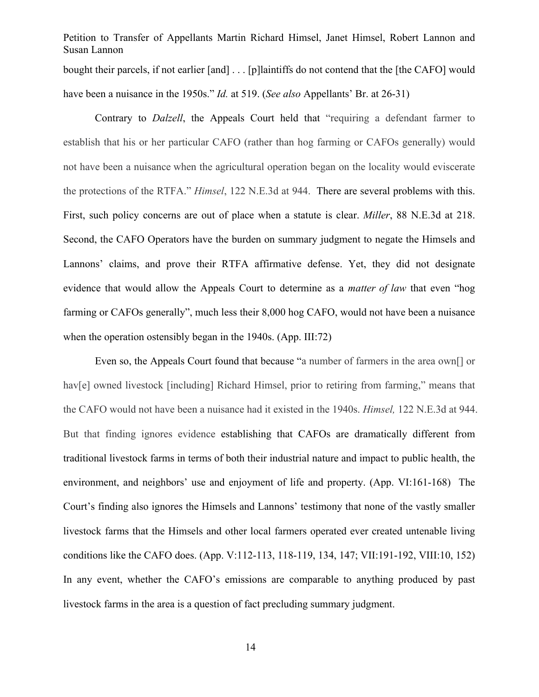Petition to Transfer of Appellants Martin Richard Himsel, Janet Himsel, Robert Lannon and Susan Lannon bought their parcels, if not earlier [and] . . . [p]laintiffs do not contend that the [the CAFO] would have been a nuisance in the 1950s." *Id.* at 519. (*See also* Appellants' Br. at 26-31)

Contrary to *Dalzell*, the Appeals Court held that "requiring a defendant farmer to establish that his or her particular CAFO (rather than hog farming or CAFOs generally) would not have been a nuisance when the agricultural operation began on the locality would eviscerate the protections of the RTFA." *Himsel*, 122 N.E.3d at 944. There are several problems with this. First, such policy concerns are out of place when a statute is clear. *Miller*, 88 N.E.3d at 218. Second, the CAFO Operators have the burden on summary judgment to negate the Himsels and Lannons' claims, and prove their RTFA affirmative defense. Yet, they did not designate evidence that would allow the Appeals Court to determine as a *matter of law* that even "hog farming or CAFOs generally", much less their 8,000 hog CAFO, would not have been a nuisance when the operation ostensibly began in the 1940s. (App. III:72)

Even so, the Appeals Court found that because "a number of farmers in the area own[] or hav<sup>[e]</sup> owned livestock [including] Richard Himsel, prior to retiring from farming," means that the CAFO would not have been a nuisance had it existed in the 1940s. *Himsel,* 122 N.E.3d at 944. But that finding ignores evidence establishing that CAFOs are dramatically different from traditional livestock farms in terms of both their industrial nature and impact to public health, the environment, and neighbors' use and enjoyment of life and property. (App. VI:161-168) The Court's finding also ignores the Himsels and Lannons' testimony that none of the vastly smaller livestock farms that the Himsels and other local farmers operated ever created untenable living conditions like the CAFO does. (App. V:112-113, 118-119, 134, 147; VII:191-192, VIII:10, 152) In any event, whether the CAFO's emissions are comparable to anything produced by past livestock farms in the area is a question of fact precluding summary judgment.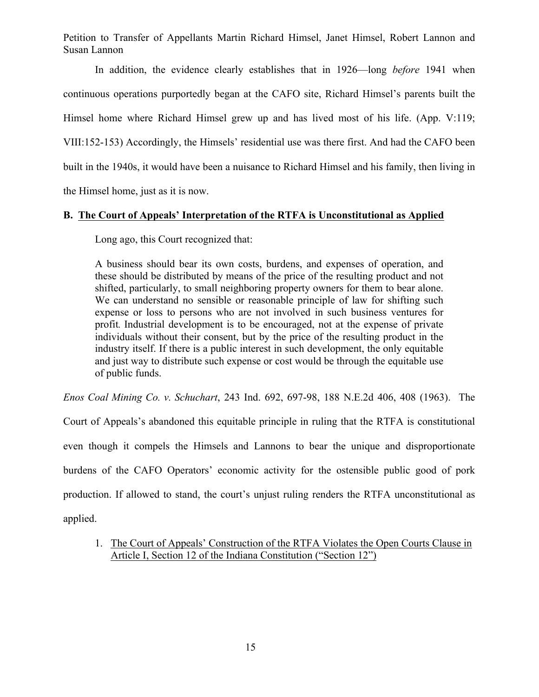In addition, the evidence clearly establishes that in 1926—long *before* 1941 when continuous operations purportedly began at the CAFO site, Richard Himsel's parents built the Himsel home where Richard Himsel grew up and has lived most of his life. (App. V:119; VIII:152-153) Accordingly, the Himsels' residential use was there first. And had the CAFO been built in the 1940s, it would have been a nuisance to Richard Himsel and his family, then living in the Himsel home, just as it is now.

### **B. The Court of Appeals' Interpretation of the RTFA is Unconstitutional as Applied**

Long ago, this Court recognized that:

A business should bear its own costs, burdens, and expenses of operation, and these should be distributed by means of the price of the resulting product and not shifted, particularly, to small neighboring property owners for them to bear alone. We can understand no sensible or reasonable principle of law for shifting such expense or loss to persons who are not involved in such business ventures for profit*.* Industrial development is to be encouraged, not at the expense of private individuals without their consent, but by the price of the resulting product in the industry itself. If there is a public interest in such development, the only equitable and just way to distribute such expense or cost would be through the equitable use of public funds.

*Enos Coal Mining Co. v. Schuchart*, 243 Ind. 692, 697-98, 188 N.E.2d 406, 408 (1963). The

Court of Appeals's abandoned this equitable principle in ruling that the RTFA is constitutional even though it compels the Himsels and Lannons to bear the unique and disproportionate burdens of the CAFO Operators' economic activity for the ostensible public good of pork production. If allowed to stand, the court's unjust ruling renders the RTFA unconstitutional as applied.

1. The Court of Appeals' Construction of the RTFA Violates the Open Courts Clause in Article I, Section 12 of the Indiana Constitution ("Section 12")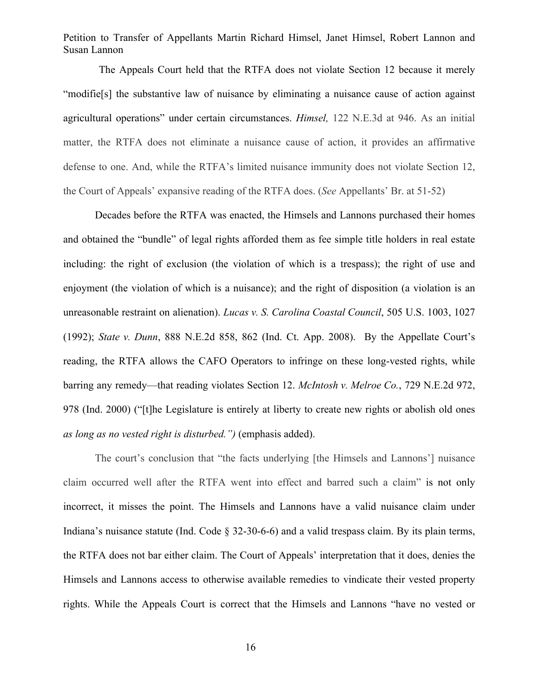The Appeals Court held that the RTFA does not violate Section 12 because it merely "modifie[s] the substantive law of nuisance by eliminating a nuisance cause of action against agricultural operations" under certain circumstances. *Himsel,* 122 N.E.3d at 946. As an initial matter, the RTFA does not eliminate a nuisance cause of action, it provides an affirmative defense to one. And, while the RTFA's limited nuisance immunity does not violate Section 12, the Court of Appeals' expansive reading of the RTFA does. (*See* Appellants' Br. at 51-52)

Decades before the RTFA was enacted, the Himsels and Lannons purchased their homes and obtained the "bundle" of legal rights afforded them as fee simple title holders in real estate including: the right of exclusion (the violation of which is a trespass); the right of use and enjoyment (the violation of which is a nuisance); and the right of disposition (a violation is an unreasonable restraint on alienation). *Lucas v. S. Carolina Coastal Council*, 505 U.S. 1003, 1027 (1992); *State v. Dunn*, 888 N.E.2d 858, 862 (Ind. Ct. App. 2008). By the Appellate Court's reading, the RTFA allows the CAFO Operators to infringe on these long-vested rights, while barring any remedy—that reading violates Section 12. *McIntosh v. Melroe Co.*, 729 N.E.2d 972, 978 (Ind. 2000) ("[t]he Legislature is entirely at liberty to create new rights or abolish old ones *as long as no vested right is disturbed.")* (emphasis added).

The court's conclusion that "the facts underlying [the Himsels and Lannons'] nuisance claim occurred well after the RTFA went into effect and barred such a claim" is not only incorrect, it misses the point. The Himsels and Lannons have a valid nuisance claim under Indiana's nuisance statute (Ind. Code § 32-30-6-6) and a valid trespass claim. By its plain terms, the RTFA does not bar either claim. The Court of Appeals' interpretation that it does, denies the Himsels and Lannons access to otherwise available remedies to vindicate their vested property rights. While the Appeals Court is correct that the Himsels and Lannons "have no vested or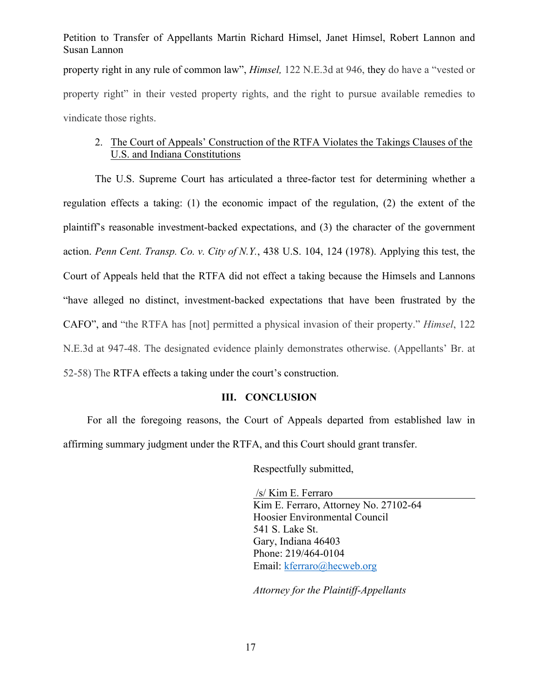property right in any rule of common law", *Himsel,* 122 N.E.3d at 946, they do have a "vested or property right" in their vested property rights, and the right to pursue available remedies to vindicate those rights.

#### 2. The Court of Appeals' Construction of the RTFA Violates the Takings Clauses of the U.S. and Indiana Constitutions

The U.S. Supreme Court has articulated a three-factor test for determining whether a regulation effects a taking: (1) the economic impact of the regulation, (2) the extent of the plaintiff's reasonable investment-backed expectations, and (3) the character of the government action. *Penn Cent. Transp. Co. v. City of N.Y.*, 438 U.S. 104, 124 (1978). Applying this test, the Court of Appeals held that the RTFA did not effect a taking because the Himsels and Lannons "have alleged no distinct, investment-backed expectations that have been frustrated by the CAFO", and "the RTFA has [not] permitted a physical invasion of their property." *Himsel*, 122 N.E.3d at 947-48. The designated evidence plainly demonstrates otherwise. (Appellants' Br. at 52-58) The RTFA effects a taking under the court's construction.

#### **III. CONCLUSION**

For all the foregoing reasons, the Court of Appeals departed from established law in affirming summary judgment under the RTFA, and this Court should grant transfer.

Respectfully submitted,

/s/ Kim E. Ferraro Kim E. Ferraro, Attorney No. 27102-64 Hoosier Environmental Council 541 S. Lake St. Gary, Indiana 46403 Phone: 219/464-0104 Email: kferraro@hecweb.org

*Attorney for the Plaintiff-Appellants*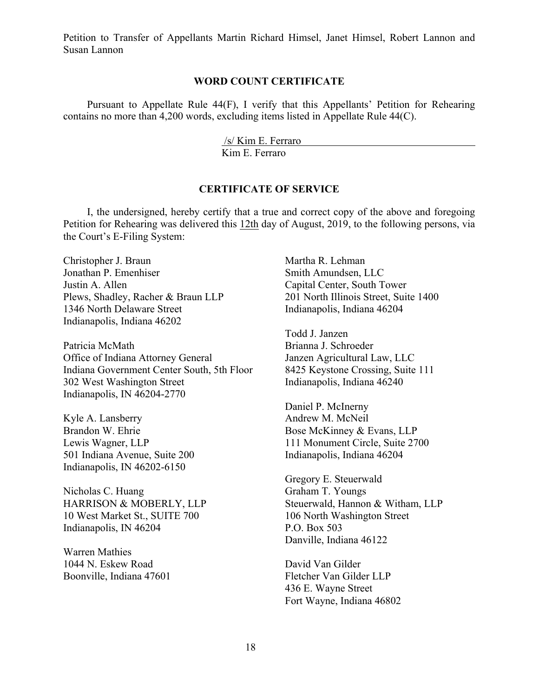#### **WORD COUNT CERTIFICATE**

Pursuant to Appellate Rule 44(F), I verify that this Appellants' Petition for Rehearing contains no more than 4,200 words, excluding items listed in Appellate Rule 44(C).

/s/ Kim E. Ferraro

Kim E. Ferraro

#### **CERTIFICATE OF SERVICE**

I, the undersigned, hereby certify that a true and correct copy of the above and foregoing Petition for Rehearing was delivered this 12th day of August, 2019, to the following persons, via the Court's E-Filing System:

Christopher J. Braun Jonathan P. Emenhiser Justin A. Allen Plews, Shadley, Racher & Braun LLP 1346 North Delaware Street Indianapolis, Indiana 46202

Patricia McMath Office of Indiana Attorney General Indiana Government Center South, 5th Floor 302 West Washington Street Indianapolis, IN 46204-2770

Kyle A. Lansberry Brandon W. Ehrie Lewis Wagner, LLP 501 Indiana Avenue, Suite 200 Indianapolis, IN 46202-6150

Nicholas C. Huang HARRISON & MOBERLY, LLP 10 West Market St., SUITE 700 Indianapolis, IN 46204

Warren Mathies 1044 N. Eskew Road Boonville, Indiana 47601

Martha R. Lehman Smith Amundsen, LLC Capital Center, South Tower 201 North Illinois Street, Suite 1400 Indianapolis, Indiana 46204

Todd J. Janzen Brianna J. Schroeder Janzen Agricultural Law, LLC 8425 Keystone Crossing, Suite 111 Indianapolis, Indiana 46240

Daniel P. McInerny Andrew M. McNeil Bose McKinney & Evans, LLP 111 Monument Circle, Suite 2700 Indianapolis, Indiana 46204

Gregory E. Steuerwald Graham T. Youngs Steuerwald, Hannon & Witham, LLP 106 North Washington Street P.O. Box 503 Danville, Indiana 46122

David Van Gilder Fletcher Van Gilder LLP 436 E. Wayne Street Fort Wayne, Indiana 46802